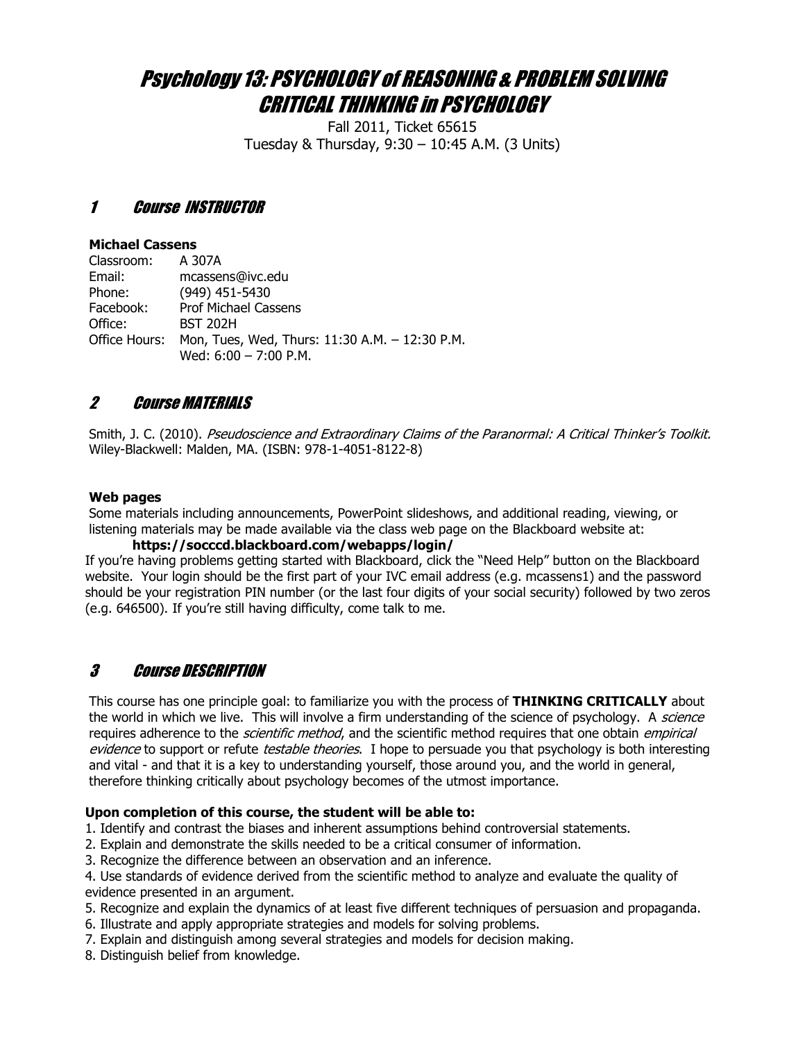# Psychology 13: PSYCHOLOGY of REASONING & PROBLEM SOLVING CRITICAL THINKING in PSYCHOLOGY

Fall 2011, Ticket 65615 Tuesday & Thursday,  $9:30 - 10:45$  A.M. (3 Units)

## 1 Course INSTRUCTOR

#### **Michael Cassens**

| Classroom: | A 307A                                                       |
|------------|--------------------------------------------------------------|
| Email:     | mcassens@ivc.edu                                             |
| Phone:     | $(949)$ 451-5430                                             |
| Facebook:  | <b>Prof Michael Cassens</b>                                  |
| Office:    | <b>BST 202H</b>                                              |
|            | Office Hours: Mon, Tues, Wed, Thurs: 11:30 A.M. - 12:30 P.M. |
|            | Wed: $6:00 - 7:00$ P.M.                                      |

## 2 Course MATERIALS

Smith, J. C. (2010). Pseudoscience and Extraordinary Claims of the Paranormal: A Critical Thinker's Toolkit. Wiley-Blackwell: Malden, MA. (ISBN: 978-1-4051-8122-8)

## **Web pages**

Some materials including announcements, PowerPoint slideshows, and additional reading, viewing, or listening materials may be made available via the class web page on the Blackboard website at:

#### **https://socccd.blackboard.com/webapps/login/**

If you're having problems getting started with Blackboard, click the "Need Help" button on the Blackboard website. Your login should be the first part of your IVC email address (e.g. mcassens1) and the password should be your registration PIN number (or the last four digits of your social security) followed by two zeros (e.g. 646500). If you're still having difficulty, come talk to me.

## 3 Course DESCRIPTION

This course has one principle goal: to familiarize you with the process of THINKING CRITICALLY about the world in which we live. This will involve a firm understanding of the science of psychology. A *science* requires adherence to the *scientific method*, and the scientific method requires that one obtain *empirical* evidence to support or refute testable theories. I hope to persuade you that psychology is both interesting and vital - and that it is a key to understanding yourself, those around you, and the world in general, therefore thinking critically about psychology becomes of the utmost importance.

## Upon completion of this course, the student will be able to:

1. Identify and contrast the biases and inherent assumptions behind controversial statements.

- 2. Explain and demonstrate the skills needed to be a critical consumer of information.
- 3. Recognize the difference between an observation and an inference.

4. Use standards of evidence derived from the scientific method to analyze and evaluate the quality of evidence presented in an argument.

- 5. Recognize and explain the dynamics of at least five different techniques of persuasion and propaganda.
- 6. Illustrate and apply appropriate strategies and models for solving problems.
- 7. Explain and distinguish among several strategies and models for decision making.
- 8. Distinguish belief from knowledge.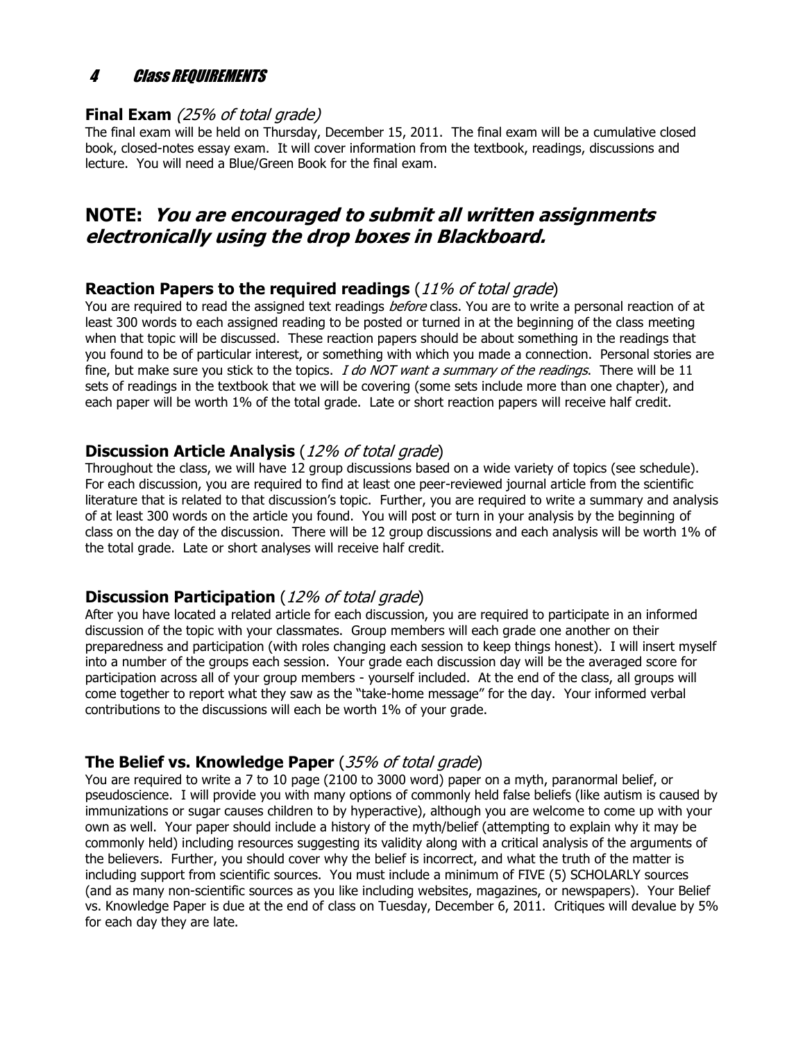## 4 Class REQUIREMENTS

## **Final Exam** (25% of total grade)

The final exam will be held on Thursday, December 15, 2011. The final exam will be a cumulative closed book, closed-notes essay exam. It will cover information from the textbook, readings, discussions and lecture. You will need a Blue/Green Book for the final exam.

## **NOTE: You are encouraged to submit all written assignments** electronically using the drop boxes in Blackboard.

## **Reaction Papers to the required readings** (11% of total grade)

You are required to read the assigned text readings *before* class. You are to write a personal reaction of at least 300 words to each assigned reading to be posted or turned in at the beginning of the class meeting when that topic will be discussed. These reaction papers should be about something in the readings that you found to be of particular interest, or something with which you made a connection. Personal stories are fine, but make sure you stick to the topics.  $I$  do NOT want a summary of the readings. There will be 11 sets of readings in the textbook that we will be covering (some sets include more than one chapter), and each paper will be worth 1% of the total grade. Late or short reaction papers will receive half credit.

## **Discussion Article Analysis** (12% of total grade)

Throughout the class, we will have 12 group discussions based on a wide variety of topics (see schedule). For each discussion, you are required to find at least one peer-reviewed journal article from the scientific literature that is related to that discussion's topic. Further, you are required to write a summary and analysis of at least 300 words on the article you found. You will post or turn in your analysis by the beginning of class on the day of the discussion. There will be 12 group discussions and each analysis will be worth 1% of the total grade. Late or short analyses will receive half credit.

## **Discussion Participation** (12% of total grade)

After you have located a related article for each discussion, you are required to participate in an informed discussion of the topic with your classmates. Group members will each grade one another on their preparedness and participation (with roles changing each session to keep things honest). I will insert myself into a number of the groups each session. Your grade each discussion day will be the averaged score for participation across all of your group members - yourself included. At the end of the class, all groups will come together to report what they saw as the "take-home message" for the day. Your informed verbal contributions to the discussions will each be worth  $1\%$  of your grade.

## **The Belief vs. Knowledge Paper** (35% of total grade)

You are required to write a 7 to 10 page (2100 to 3000 word) paper on a myth, paranormal belief, or pseudoscience. I will provide you with many options of commonly held false beliefs (like autism is caused by immunizations or sugar causes children to by hyperactive), although you are welcome to come up with your own as well. Your paper should include a history of the myth/belief (attempting to explain why it may be commonly held) including resources suggesting its validity along with a critical analysis of the arguments of the believers. Further, you should cover why the belief is incorrect, and what the truth of the matter is including support from scientific sources. You must include a minimum of FIVE (5) SCHOLARLY sources (and as many non-scientific sources as you like including websites, magazines, or newspapers). Your Belief vs. Knowledge Paper is due at the end of class on Tuesday, December 6, 2011. Critiques will devalue by 5% for each day they are late.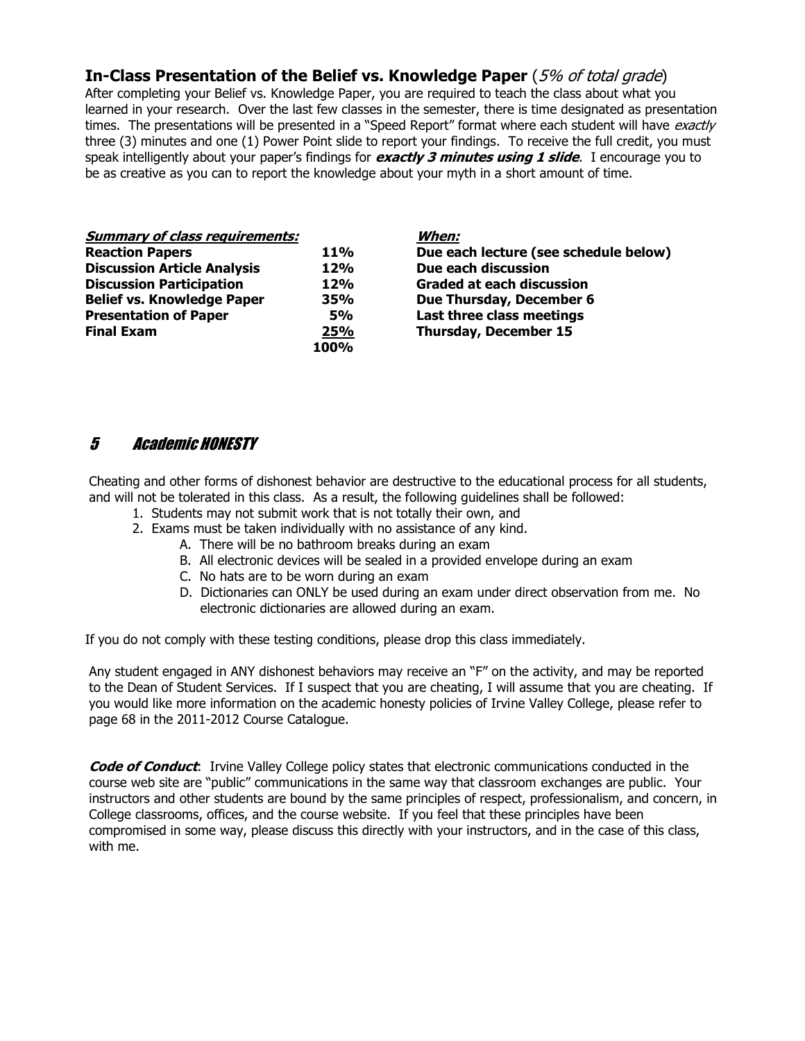## **In-Class Presentation of the Belief vs. Knowledge Paper** (5% of total grade)

After completing your Belief vs. Knowledge Paper, you are required to teach the class about what you learned in your research. Over the last few classes in the semester, there is time designated as presentation times. The presentations will be presented in a "Speed Report" format where each student will have exactly three (3) minutes and one (1) Power Point slide to report your findings. To receive the full credit, you must speak intelligently about your paper's findings for **exactly 3 minutes using 1 slide**. I encourage you to be as creative as you can to report the knowledge about your myth in a short amount of time.

| <b>Summary of class requirements:</b> |            | When:         |
|---------------------------------------|------------|---------------|
| <b>Reaction Papers</b>                | <b>11%</b> | Due ea        |
| <b>Discussion Article Analysis</b>    | 12%        | Due ea        |
| <b>Discussion Participation</b>       | 12%        | Gradeo        |
| <b>Belief vs. Knowledge Paper</b>     | 35%        | Due Th        |
| <b>Presentation of Paper</b>          | <b>5%</b>  | Last th       |
| <b>Final Exam</b>                     | 25%        | <b>Thursd</b> |
|                                       | 100%       |               |

**Due each lecture (see schedule below) Due each discussion Graded at each discussion Bue Thursday, December 6 Last three class meetings Thursday, December 15** 

## 5 Academic HONESTY

Cheating and other forms of dishonest behavior are destructive to the educational process for all students, and will not be tolerated in this class. As a result, the following guidelines shall be followed:

- 1. Students may not submit work that is not totally their own, and
- 2. Exams must be taken individually with no assistance of any kind.
	- A. There will be no bathroom breaks during an exam
	- B. All electronic devices will be sealed in a provided envelope during an exam
	- C. No hats are to be worn during an exam
	- D. Dictionaries can ONLY be used during an exam under direct observation from me. No electronic dictionaries are allowed during an exam.

If you do not comply with these testing conditions, please drop this class immediately.

Any student engaged in ANY dishonest behaviors may receive an "F" on the activity, and may be reported to the Dean of Student Services. If I suspect that you are cheating, I will assume that you are cheating. If you would like more information on the academic honesty policies of Irvine Valley College, please refer to page 68 in the 2011-2012 Course Catalogue.

**Code of Conduct:** Irvine Valley College policy states that electronic communications conducted in the course web site are "public" communications in the same way that classroom exchanges are public. Your instructors and other students are bound by the same principles of respect, professionalism, and concern, in College classrooms, offices, and the course website. If you feel that these principles have been compromised in some way, please discuss this directly with your instructors, and in the case of this class, with me.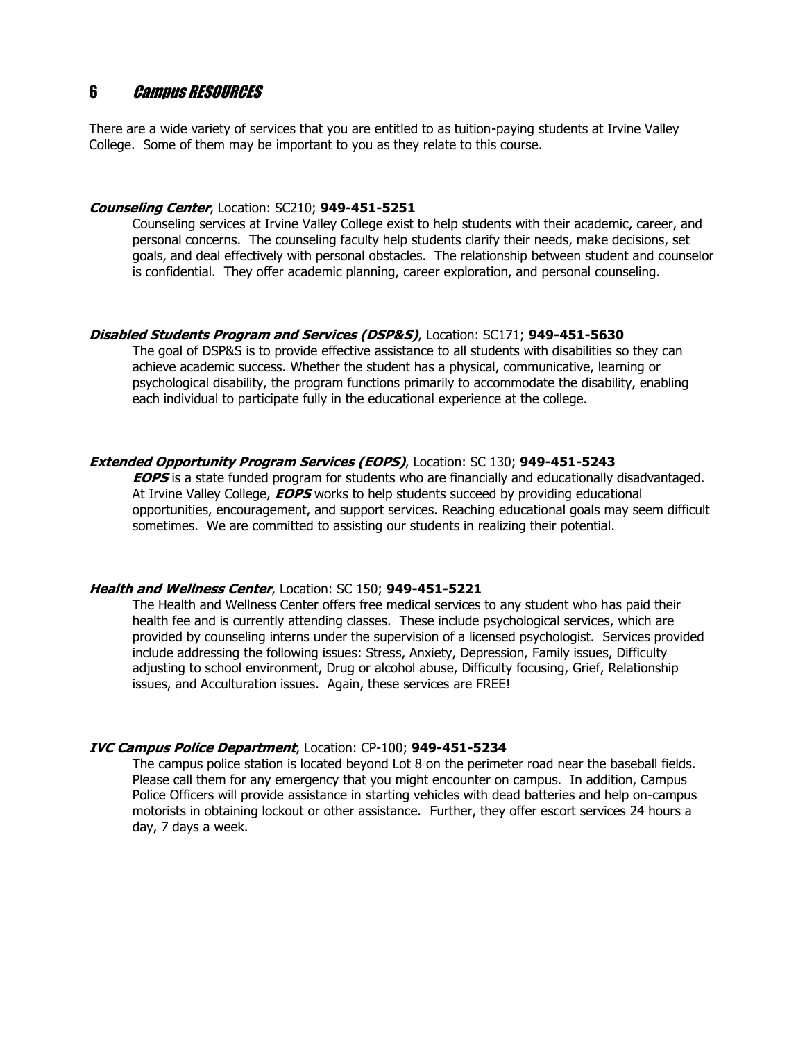## 6 Campus RESOURCES

There are a wide variety of services that you are entitled to as tuition-paying students at Irvine Valley College. Some of them may be important to you as they relate to this course.

#### **Counseling Center, Location: SC210; 949-451-5251**

Counseling services at Irvine Valley College exist to help students with their academic, career, and personal concerns. The counseling faculty help students clarify their needs, make decisions, set goals, and deal effectively with personal obstacles. The relationship between student and counselor is confidential. They offer academic planning, career exploration, and personal counseling.

#### **Disabled Students Program and Services (DSP&S), Location: SC171; 949-451-5630**

The goal of DSP&S is to provide effective assistance to all students with disabilities so they can achieve academic success. Whether the student has a physical, communicative, learning or psychological disability, the program functions primarily to accommodate the disability, enabling each individual to participate fully in the educational experience at the college.

#### **Extended Opportunity Program Services (EOPS)**, Location: SC 130; 949-451-5243

**EOPS** is a state funded program for students who are financially and educationally disadvantaged. At Irvine Valley College, **EOPS** works to help students succeed by providing educational opportunities, encouragement, and support services. Reaching educational goals may seem difficult sometimes. We are committed to assisting our students in realizing their potential.

#### **Health and Wellness Center, Location: SC 150; 949-451-5221**

The Health and Wellness Center offers free medical services to any student who has paid their health fee and is currently attending classes. These include psychological services, which are provided by counseling interns under the supervision of a licensed psychologist. Services provided include addressing the following issues: Stress, Anxiety, Depression, Family issues, Difficulty adjusting to school environment, Drug or alcohol abuse, Difficulty focusing, Grief, Relationship issues, and Acculturation issues. Again, these services are FREE!

#### **IVC Campus Police Department**, Location: CP-100; 949-451-5234

The campus police station is located beyond Lot 8 on the perimeter road near the baseball fields. Please call them for any emergency that you might encounter on campus. In addition, Campus Police Officers will provide assistance in starting vehicles with dead batteries and help on-campus motorists in obtaining lockout or other assistance. Further, they offer escort services 24 hours a day, 7 days a week.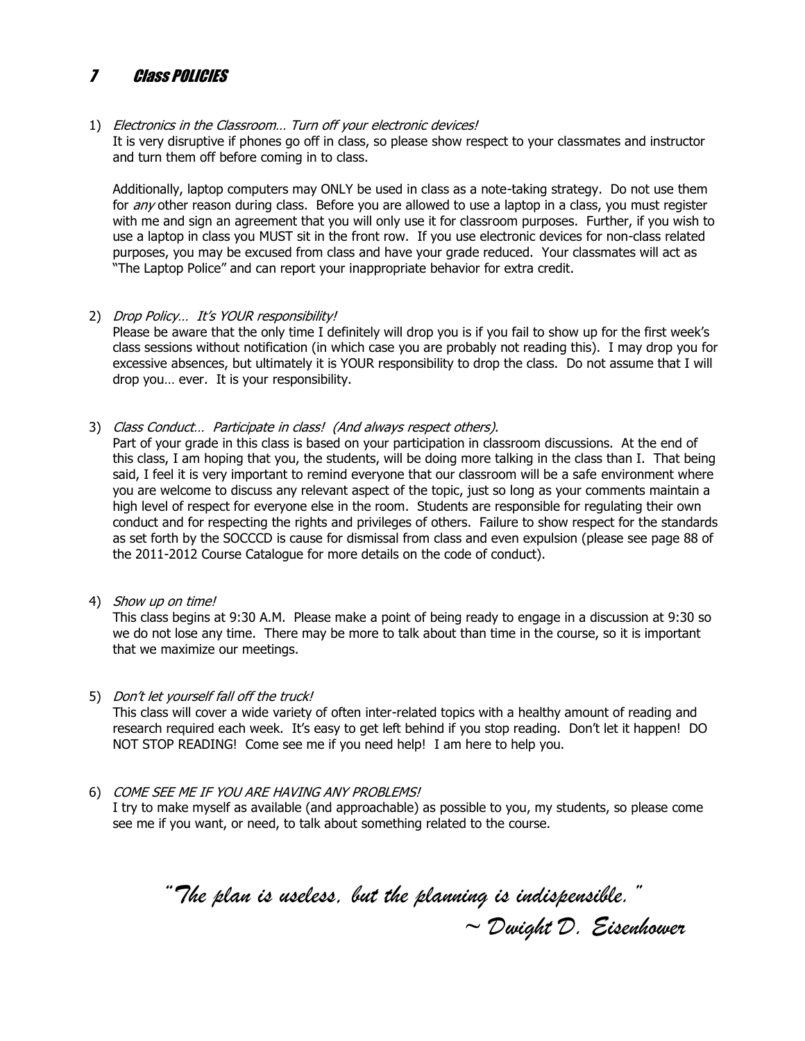#### $\overline{\mathbf{z}}$ **Class POLICIES**

#### 1) Electronics in the Classroom... Turn off your electronic devices!

It is very disruptive if phones go off in class, so please show respect to your classmates and instructor and turn them off before coming in to class.

Additionally, laptop computers may ONLY be used in class as a note-taking strategy. Do not use them for any other reason during class. Before you are allowed to use a laptop in a class, you must register with me and sign an agreement that you will only use it for classroom purposes. Further, if you wish to use a laptop in class you MUST sit in the front row. If you use electronic devices for non-class related purposes, you may be excused from class and have your grade reduced. Your classmates will act as "The Laptop Police" and can report your inappropriate behavior for extra credit.

#### 2) Drop Policy... It's YOUR responsibility!

Please be aware that the only time I definitely will drop you is if you fail to show up for the first week's class sessions without notification (in which case you are probably not reading this). I may drop you for excessive absences, but ultimately it is YOUR responsibility to drop the class. Do not assume that I will drop you... ever. It is your responsibility.

3) Class Conduct... Participate in class! (And always respect others).

Part of your grade in this class is based on your participation in classroom discussions. At the end of this class, I am hoping that you, the students, will be doing more talking in the class than I. That being said, I feel it is very important to remind everyone that our classroom will be a safe environment where you are welcome to discuss any relevant aspect of the topic, just so long as your comments maintain a high level of respect for everyone else in the room. Students are responsible for regulating their own conduct and for respecting the rights and privileges of others. Failure to show respect for the standards as set forth by the SOCCCD is cause for dismissal from class and even expulsion (please see page 88 of the 2011-2012 Course Catalogue for more details on the code of conduct).

4) Show up on time!

This class begins at 9:30 A.M. Please make a point of being ready to engage in a discussion at 9:30 so we do not lose any time. There may be more to talk about than time in the course, so it is important that we maximize our meetings.

#### 5) Don't let yourself fall off the truck!

This class will cover a wide variety of often inter-related topics with a healthy amount of reading and research required each week. It's easy to get left behind if you stop reading. Don't let it happen! DO NOT STOP READING! Come see me if you need help! I am here to help you.

6) COME SEE ME IF YOU ARE HAVING ANY PROBLEMS!

I try to make myself as available (and approachable) as possible to you, my students, so please come see me if you want, or need, to talk about something related to the course.

" The plan is useless, but the planning is indispensible. "  $\sim$  Dwight D. Eisenhower